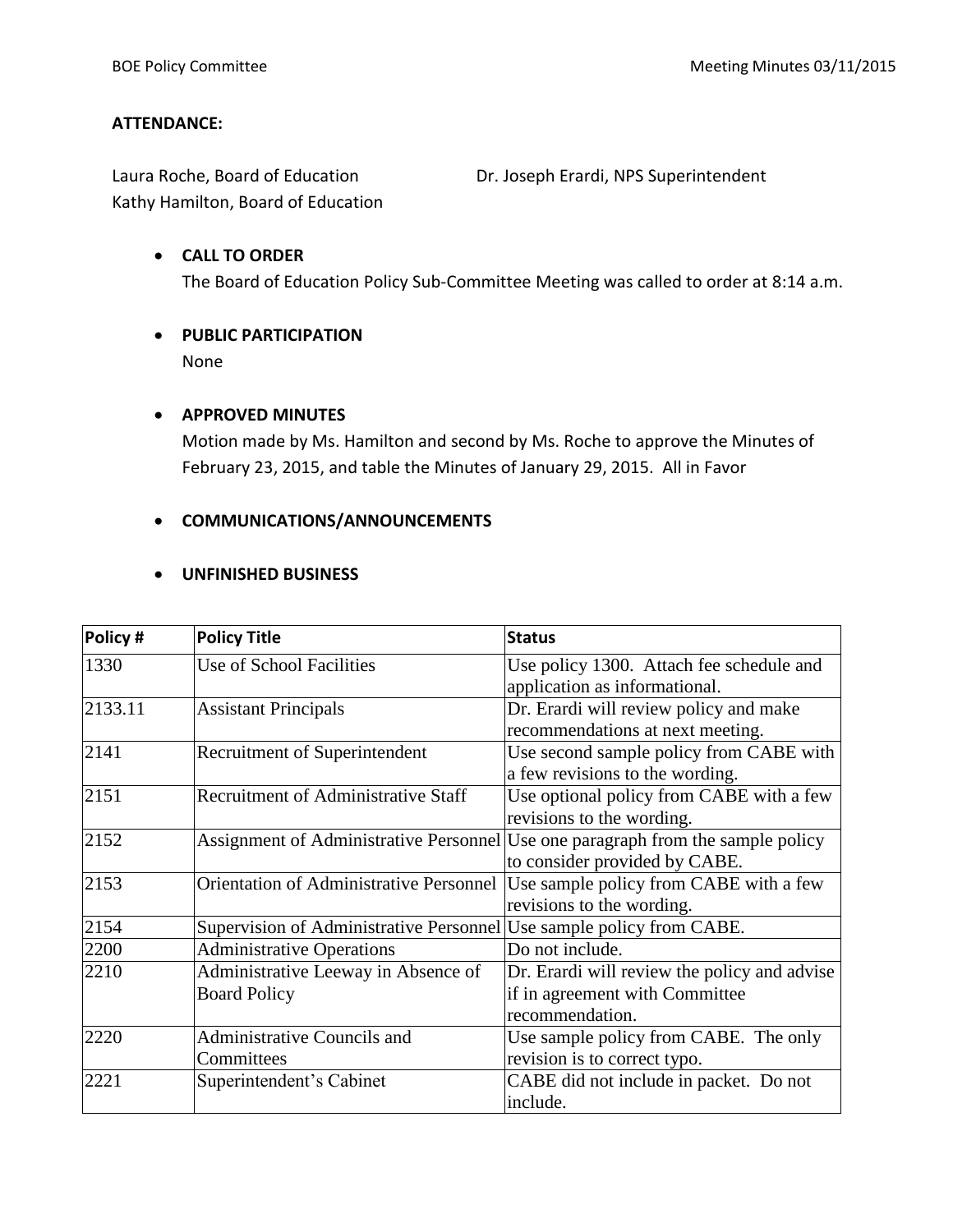#### **ATTENDANCE:**

Laura Roche, Board of Education **Dr. Joseph Erardi, NPS Superintendent** Kathy Hamilton, Board of Education

## **CALL TO ORDER** The Board of Education Policy Sub-Committee Meeting was called to order at 8:14 a.m.

## **PUBLIC PARTICIPATION** None

#### **APPROVED MINUTES**

Motion made by Ms. Hamilton and second by Ms. Roche to approve the Minutes of February 23, 2015, and table the Minutes of January 29, 2015. All in Favor

## **COMMUNICATIONS/ANNOUNCEMENTS**

## **UNFINISHED BUSINESS**

| Policy# | <b>Policy Title</b>                                                    | <b>Status</b>                                                                   |
|---------|------------------------------------------------------------------------|---------------------------------------------------------------------------------|
| 1330    | <b>Use of School Facilities</b>                                        | Use policy 1300. Attach fee schedule and                                        |
|         |                                                                        | application as informational.                                                   |
| 2133.11 | <b>Assistant Principals</b>                                            | Dr. Erardi will review policy and make                                          |
|         |                                                                        | recommendations at next meeting.                                                |
| 2141    | Recruitment of Superintendent                                          | Use second sample policy from CABE with                                         |
|         |                                                                        | a few revisions to the wording.                                                 |
| 2151    | <b>Recruitment of Administrative Staff</b>                             | Use optional policy from CABE with a few                                        |
|         |                                                                        | revisions to the wording.                                                       |
| 2152    |                                                                        | Assignment of Administrative Personnel Use one paragraph from the sample policy |
|         |                                                                        | to consider provided by CABE.                                                   |
| 2153    | <b>Orientation of Administrative Personnel</b>                         | Use sample policy from CABE with a few                                          |
|         |                                                                        | revisions to the wording.                                                       |
| 2154    | Supervision of Administrative Personnel   Use sample policy from CABE. |                                                                                 |
| 2200    | <b>Administrative Operations</b>                                       | Do not include.                                                                 |
| 2210    | Administrative Leeway in Absence of                                    | Dr. Erardi will review the policy and advise                                    |
|         | <b>Board Policy</b>                                                    | if in agreement with Committee                                                  |
|         |                                                                        | recommendation.                                                                 |
| 2220    | <b>Administrative Councils and</b>                                     | Use sample policy from CABE. The only                                           |
|         | Committees                                                             | revision is to correct typo.                                                    |
| 2221    | Superintendent's Cabinet                                               | CABE did not include in packet. Do not                                          |
|         |                                                                        | include.                                                                        |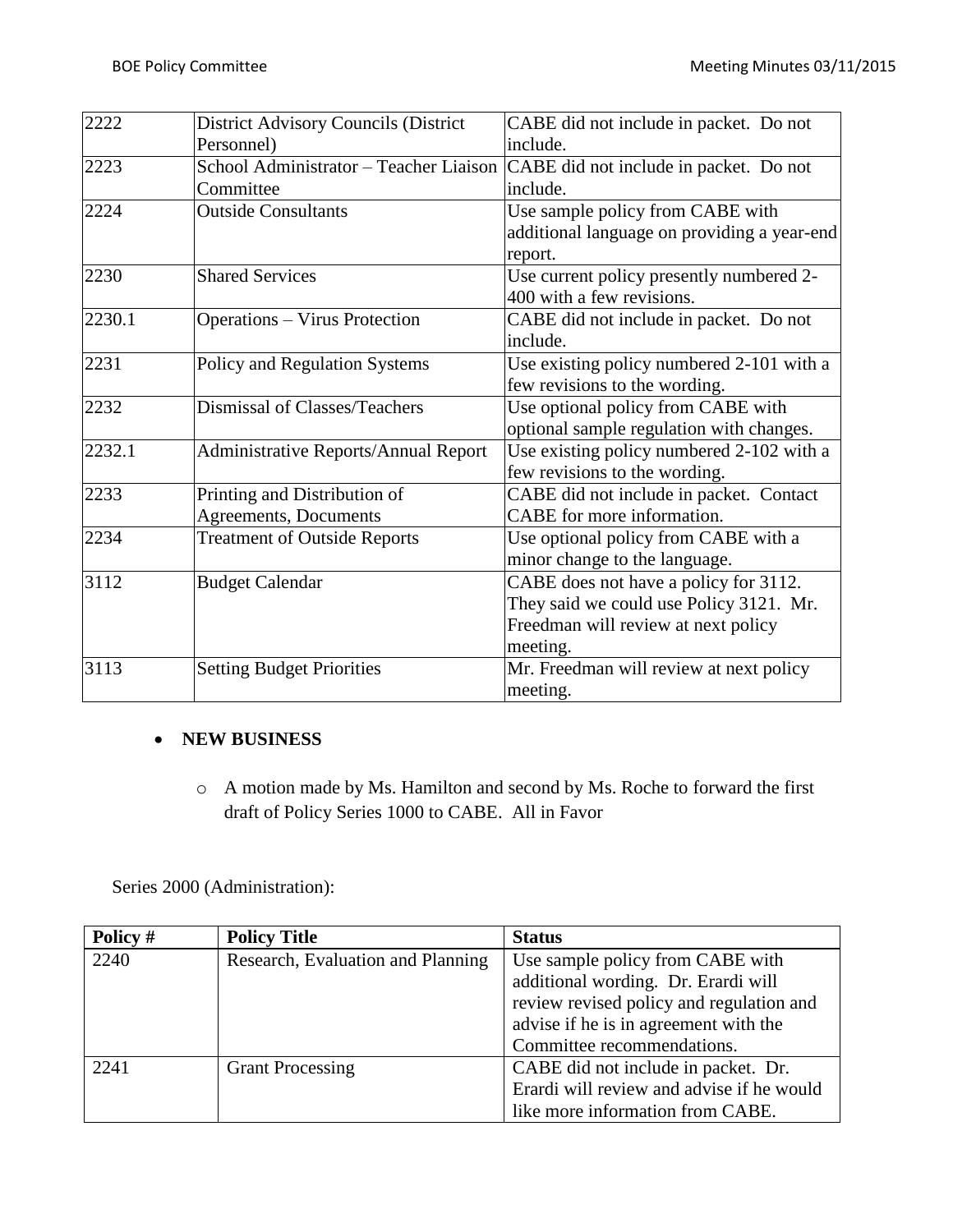| 2222   | <b>District Advisory Councils (District</b> | CABE did not include in packet. Do not      |
|--------|---------------------------------------------|---------------------------------------------|
|        | Personnel)                                  | include.                                    |
| 2223   | School Administrator - Teacher Liaison      | CABE did not include in packet. Do not      |
|        | Committee                                   | include.                                    |
| 2224   | <b>Outside Consultants</b>                  | Use sample policy from CABE with            |
|        |                                             | additional language on providing a year-end |
|        |                                             | report.                                     |
| 2230   | <b>Shared Services</b>                      | Use current policy presently numbered 2-    |
|        |                                             | 400 with a few revisions.                   |
| 2230.1 | <b>Operations – Virus Protection</b>        | CABE did not include in packet. Do not      |
|        |                                             | include.                                    |
| 2231   | Policy and Regulation Systems               | Use existing policy numbered 2-101 with a   |
|        |                                             | few revisions to the wording.               |
| 2232   | Dismissal of Classes/Teachers               | Use optional policy from CABE with          |
|        |                                             | optional sample regulation with changes.    |
| 2232.1 | Administrative Reports/Annual Report        | Use existing policy numbered 2-102 with a   |
|        |                                             | few revisions to the wording.               |
| 2233   | Printing and Distribution of                | CABE did not include in packet. Contact     |
|        | <b>Agreements</b> , Documents               | CABE for more information.                  |
| 2234   | <b>Treatment of Outside Reports</b>         | Use optional policy from CABE with a        |
|        |                                             | minor change to the language.               |
| 3112   | <b>Budget Calendar</b>                      | CABE does not have a policy for 3112.       |
|        |                                             | They said we could use Policy 3121. Mr.     |
|        |                                             | Freedman will review at next policy         |
|        |                                             | meeting.                                    |
| 3113   | <b>Setting Budget Priorities</b>            | Mr. Freedman will review at next policy     |
|        |                                             | meeting.                                    |

## **NEW BUSINESS**

o A motion made by Ms. Hamilton and second by Ms. Roche to forward the first draft of Policy Series 1000 to CABE. All in Favor

Series 2000 (Administration):

| Policy # | <b>Policy Title</b>               | <b>Status</b>                             |
|----------|-----------------------------------|-------------------------------------------|
| 2240     | Research, Evaluation and Planning | Use sample policy from CABE with          |
|          |                                   | additional wording. Dr. Erardi will       |
|          |                                   | review revised policy and regulation and  |
|          |                                   | advise if he is in agreement with the     |
|          |                                   | Committee recommendations.                |
| 2241     | <b>Grant Processing</b>           | CABE did not include in packet. Dr.       |
|          |                                   | Erardi will review and advise if he would |
|          |                                   | like more information from CABE.          |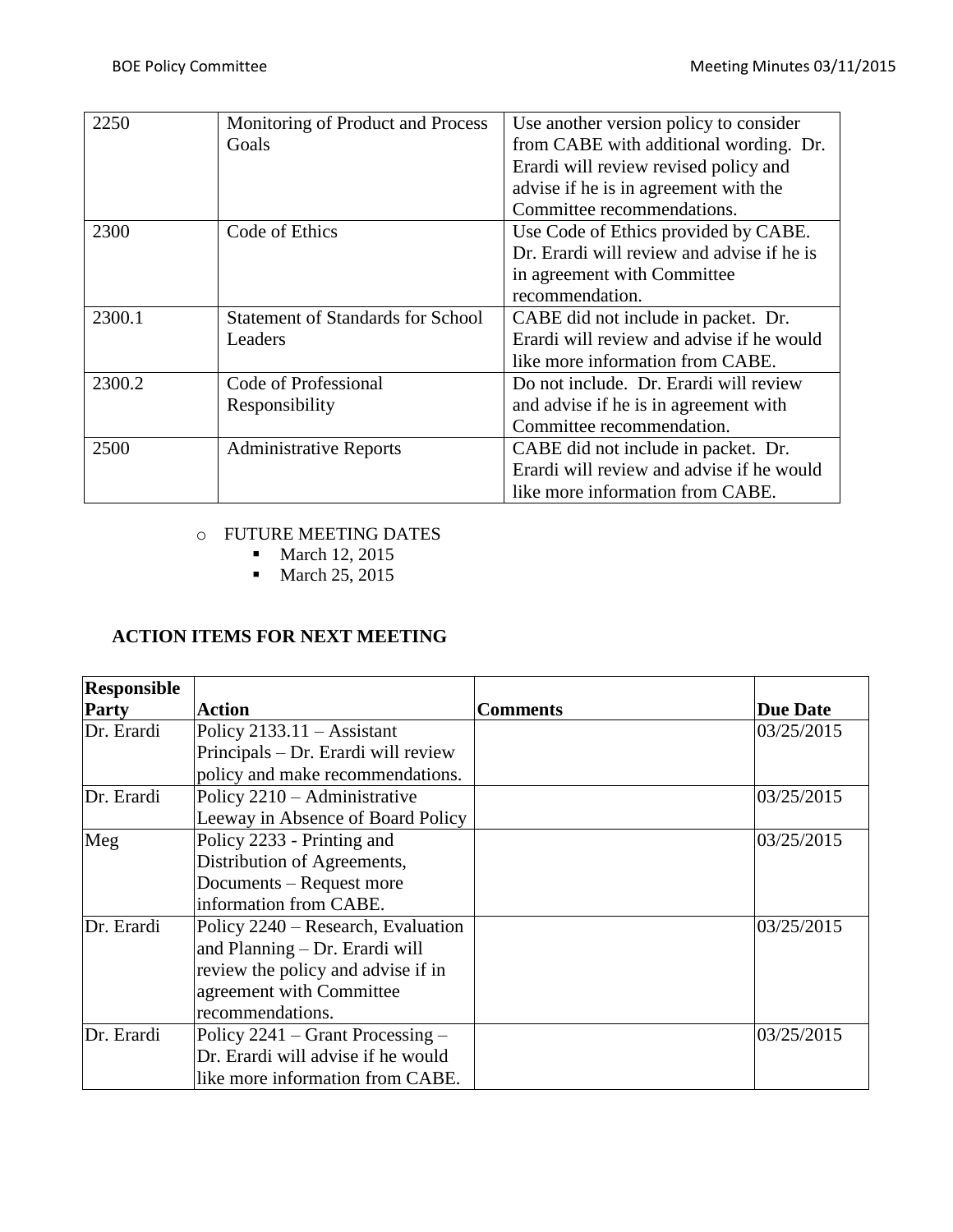| 2250   | Monitoring of Product and Process        | Use another version policy to consider     |
|--------|------------------------------------------|--------------------------------------------|
|        | Goals                                    | from CABE with additional wording. Dr.     |
|        |                                          | Erardi will review revised policy and      |
|        |                                          | advise if he is in agreement with the      |
|        |                                          | Committee recommendations.                 |
| 2300   | Code of Ethics                           | Use Code of Ethics provided by CABE.       |
|        |                                          | Dr. Erardi will review and advise if he is |
|        |                                          | in agreement with Committee                |
|        |                                          | recommendation.                            |
| 2300.1 | <b>Statement of Standards for School</b> | CABE did not include in packet. Dr.        |
|        | Leaders                                  | Erardi will review and advise if he would  |
|        |                                          | like more information from CABE.           |
| 2300.2 | Code of Professional                     | Do not include. Dr. Erardi will review     |
|        | Responsibility                           | and advise if he is in agreement with      |
|        |                                          | Committee recommendation.                  |
| 2500   | <b>Administrative Reports</b>            | CABE did not include in packet. Dr.        |
|        |                                          | Erardi will review and advise if he would  |
|        |                                          | like more information from CABE.           |

## o FUTURE MEETING DATES

- March 12, 2015
- **March 25, 2015**

# **ACTION ITEMS FOR NEXT MEETING**

| <b>Responsible</b> |                                     |                 |                 |
|--------------------|-------------------------------------|-----------------|-----------------|
| Party              | Action                              | <b>Comments</b> | <b>Due Date</b> |
| Dr. Erardi         | Policy 2133.11 - Assistant          |                 | 03/25/2015      |
|                    | Principals – Dr. Erardi will review |                 |                 |
|                    | policy and make recommendations.    |                 |                 |
| Dr. Erardi         | Policy 2210 – Administrative        |                 | 03/25/2015      |
|                    | Leeway in Absence of Board Policy   |                 |                 |
| Meg                | Policy 2233 - Printing and          |                 | 03/25/2015      |
|                    | Distribution of Agreements,         |                 |                 |
|                    | Documents – Request more            |                 |                 |
|                    | information from CABE.              |                 |                 |
| Dr. Erardi         | Policy 2240 – Research, Evaluation  |                 | 03/25/2015      |
|                    | and Planning - Dr. Erardi will      |                 |                 |
|                    | review the policy and advise if in  |                 |                 |
|                    | agreement with Committee            |                 |                 |
|                    | recommendations.                    |                 |                 |
| Dr. Erardi         | Policy 2241 – Grant Processing –    |                 | 03/25/2015      |
|                    | Dr. Erardi will advise if he would  |                 |                 |
|                    | like more information from CABE.    |                 |                 |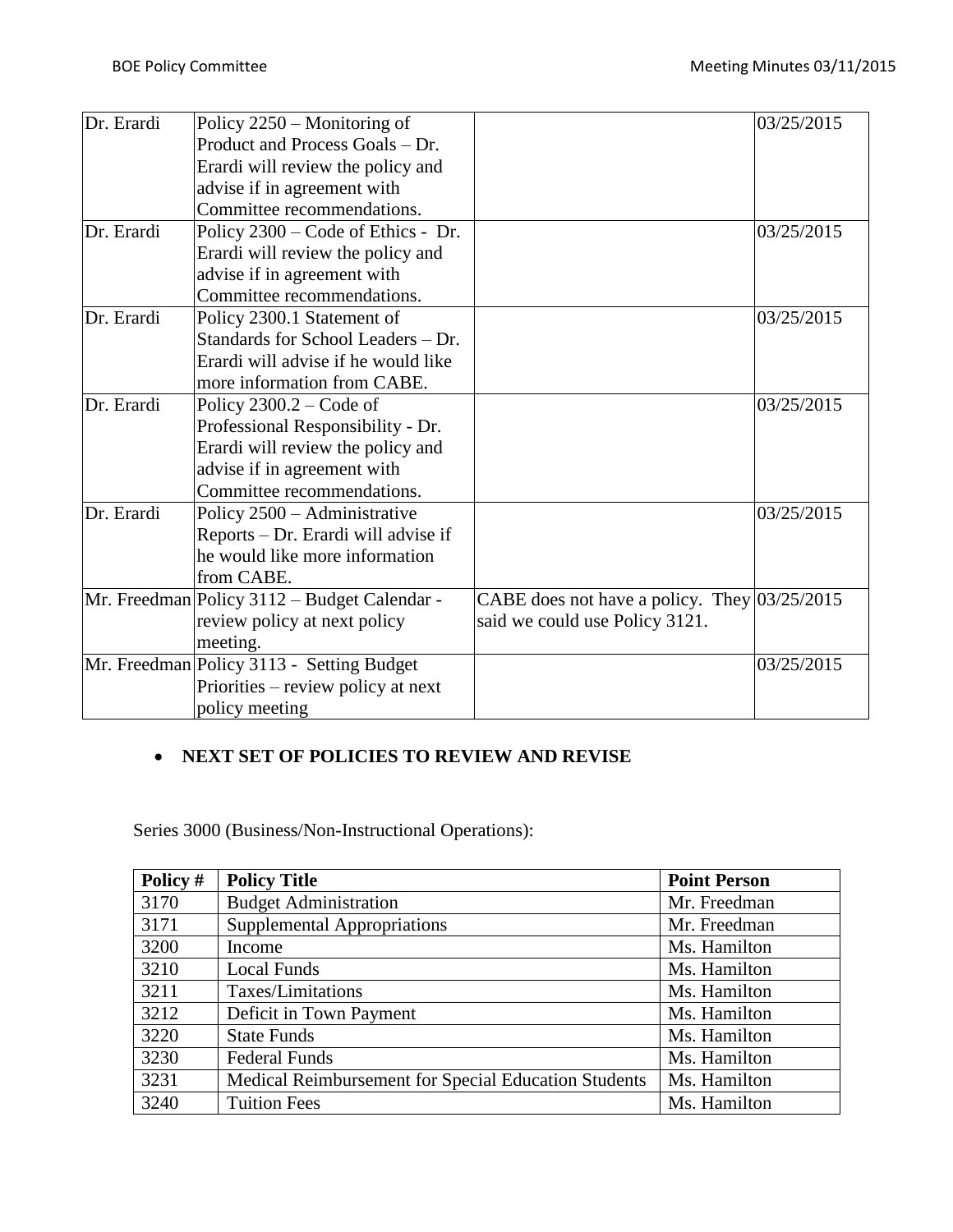| Dr. Erardi | Policy 2250 – Monitoring of                  |                                                  | 03/25/2015 |
|------------|----------------------------------------------|--------------------------------------------------|------------|
|            | Product and Process Goals – Dr.              |                                                  |            |
|            | Erardi will review the policy and            |                                                  |            |
|            | advise if in agreement with                  |                                                  |            |
|            | Committee recommendations.                   |                                                  |            |
| Dr. Erardi | Policy 2300 – Code of Ethics - Dr.           |                                                  | 03/25/2015 |
|            | Erardi will review the policy and            |                                                  |            |
|            | advise if in agreement with                  |                                                  |            |
|            | Committee recommendations.                   |                                                  |            |
| Dr. Erardi | Policy 2300.1 Statement of                   |                                                  | 03/25/2015 |
|            | Standards for School Leaders - Dr.           |                                                  |            |
|            | Erardi will advise if he would like          |                                                  |            |
|            | more information from CABE.                  |                                                  |            |
| Dr. Erardi | Policy $2300.2$ – Code of                    |                                                  | 03/25/2015 |
|            | Professional Responsibility - Dr.            |                                                  |            |
|            | Erardi will review the policy and            |                                                  |            |
|            | advise if in agreement with                  |                                                  |            |
|            | Committee recommendations.                   |                                                  |            |
| Dr. Erardi | Policy 2500 – Administrative                 |                                                  | 03/25/2015 |
|            | Reports – Dr. Erardi will advise if          |                                                  |            |
|            | he would like more information               |                                                  |            |
|            | from CABE.                                   |                                                  |            |
|            | Mr. Freedman Policy 3112 – Budget Calendar - | CABE does not have a policy. They $ 03/25/2015 $ |            |
|            | review policy at next policy                 | said we could use Policy 3121.                   |            |
|            | meeting.                                     |                                                  |            |
|            | Mr. Freedman Policy 3113 - Setting Budget    |                                                  | 03/25/2015 |
|            | Priorities – review policy at next           |                                                  |            |
|            | policy meeting                               |                                                  |            |

# **NEXT SET OF POLICIES TO REVIEW AND REVISE**

Series 3000 (Business/Non-Instructional Operations):

| Policy # | <b>Policy Title</b>                                  | <b>Point Person</b> |
|----------|------------------------------------------------------|---------------------|
| 3170     | <b>Budget Administration</b>                         | Mr. Freedman        |
| 3171     | <b>Supplemental Appropriations</b>                   | Mr. Freedman        |
| 3200     | Income                                               | Ms. Hamilton        |
| 3210     | <b>Local Funds</b>                                   | Ms. Hamilton        |
| 3211     | Taxes/Limitations                                    | Ms. Hamilton        |
| 3212     | Deficit in Town Payment                              | Ms. Hamilton        |
| 3220     | <b>State Funds</b>                                   | Ms. Hamilton        |
| 3230     | <b>Federal Funds</b>                                 | Ms. Hamilton        |
| 3231     | Medical Reimbursement for Special Education Students | Ms. Hamilton        |
| 3240     | <b>Tuition Fees</b>                                  | Ms. Hamilton        |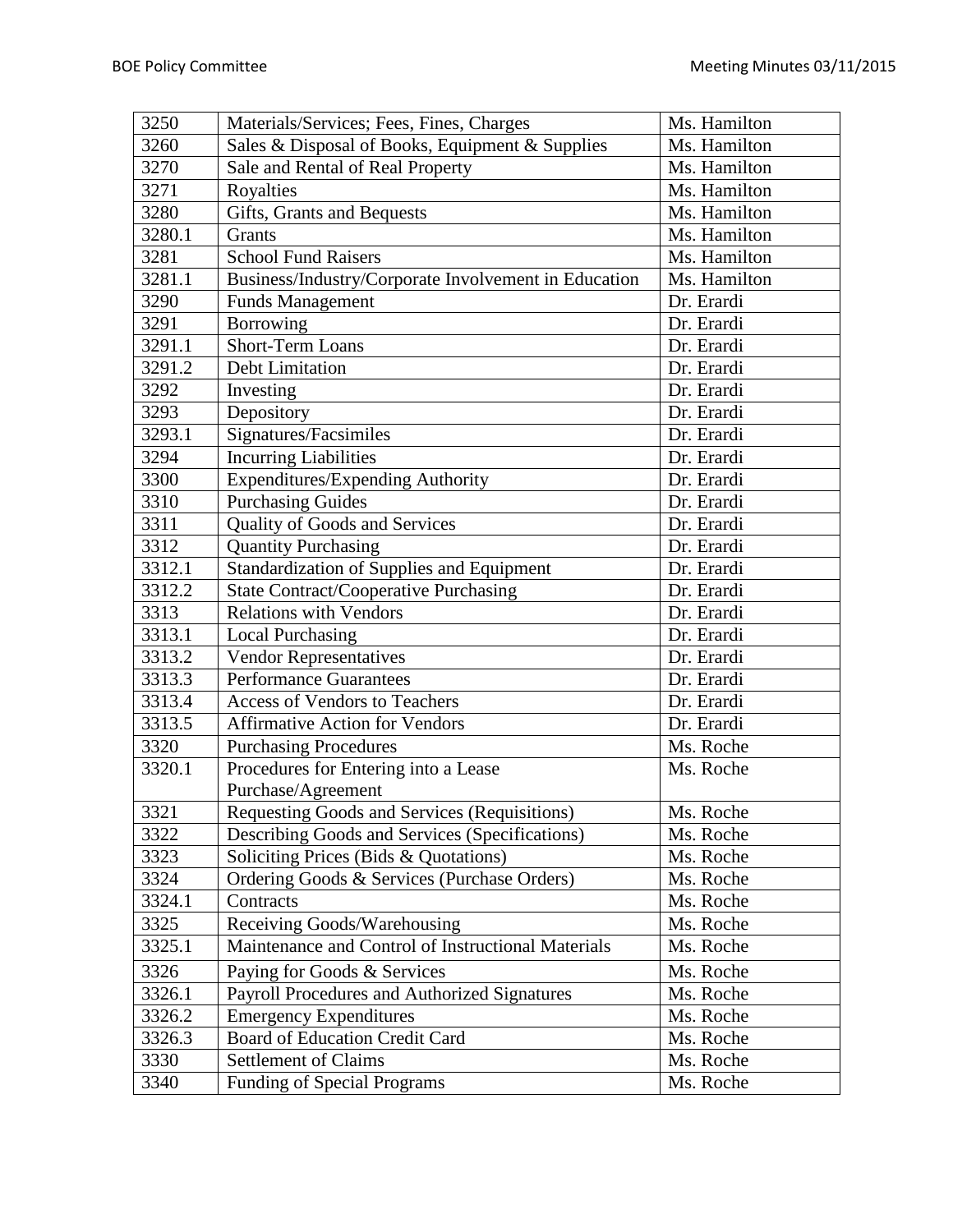| Materials/Services; Fees, Fines, Charges<br>Sales & Disposal of Books, Equipment & Supplies<br>3260<br>Ms. Hamilton<br>Sale and Rental of Real Property<br>3270<br>Ms. Hamilton<br>Ms. Hamilton<br>3271<br>Royalties<br>3280<br>Ms. Hamilton<br>Gifts, Grants and Bequests<br>Ms. Hamilton<br>3280.1<br>Grants<br>3281<br>Ms. Hamilton<br><b>School Fund Raisers</b><br>Business/Industry/Corporate Involvement in Education<br>Ms. Hamilton<br>3281.1<br>3290<br>Dr. Erardi<br><b>Funds Management</b><br>3291<br>Dr. Erardi<br>Borrowing<br>Short-Term Loans<br>3291.1<br>Dr. Erardi<br>3291.2<br>Debt Limitation<br>Dr. Erardi<br>3292<br>Investing<br>Dr. Erardi<br>3293<br>Depository<br>Dr. Erardi<br>3293.1<br>Signatures/Facsimiles<br>Dr. Erardi<br>3294<br><b>Incurring Liabilities</b><br>Dr. Erardi<br><b>Expenditures/Expending Authority</b><br>Dr. Erardi<br>3300<br>3310<br><b>Purchasing Guides</b><br>Dr. Erardi<br>Quality of Goods and Services<br>3311<br>Dr. Erardi<br>3312<br><b>Quantity Purchasing</b><br>Dr. Erardi<br>Standardization of Supplies and Equipment<br>3312.1<br>Dr. Erardi<br><b>State Contract/Cooperative Purchasing</b><br>Dr. Erardi<br>3312.2<br>3313<br><b>Relations with Vendors</b><br>Dr. Erardi |
|---------------------------------------------------------------------------------------------------------------------------------------------------------------------------------------------------------------------------------------------------------------------------------------------------------------------------------------------------------------------------------------------------------------------------------------------------------------------------------------------------------------------------------------------------------------------------------------------------------------------------------------------------------------------------------------------------------------------------------------------------------------------------------------------------------------------------------------------------------------------------------------------------------------------------------------------------------------------------------------------------------------------------------------------------------------------------------------------------------------------------------------------------------------------------------------------------------------------------------------------------|
|                                                                                                                                                                                                                                                                                                                                                                                                                                                                                                                                                                                                                                                                                                                                                                                                                                                                                                                                                                                                                                                                                                                                                                                                                                                   |
|                                                                                                                                                                                                                                                                                                                                                                                                                                                                                                                                                                                                                                                                                                                                                                                                                                                                                                                                                                                                                                                                                                                                                                                                                                                   |
|                                                                                                                                                                                                                                                                                                                                                                                                                                                                                                                                                                                                                                                                                                                                                                                                                                                                                                                                                                                                                                                                                                                                                                                                                                                   |
|                                                                                                                                                                                                                                                                                                                                                                                                                                                                                                                                                                                                                                                                                                                                                                                                                                                                                                                                                                                                                                                                                                                                                                                                                                                   |
|                                                                                                                                                                                                                                                                                                                                                                                                                                                                                                                                                                                                                                                                                                                                                                                                                                                                                                                                                                                                                                                                                                                                                                                                                                                   |
|                                                                                                                                                                                                                                                                                                                                                                                                                                                                                                                                                                                                                                                                                                                                                                                                                                                                                                                                                                                                                                                                                                                                                                                                                                                   |
|                                                                                                                                                                                                                                                                                                                                                                                                                                                                                                                                                                                                                                                                                                                                                                                                                                                                                                                                                                                                                                                                                                                                                                                                                                                   |
|                                                                                                                                                                                                                                                                                                                                                                                                                                                                                                                                                                                                                                                                                                                                                                                                                                                                                                                                                                                                                                                                                                                                                                                                                                                   |
|                                                                                                                                                                                                                                                                                                                                                                                                                                                                                                                                                                                                                                                                                                                                                                                                                                                                                                                                                                                                                                                                                                                                                                                                                                                   |
|                                                                                                                                                                                                                                                                                                                                                                                                                                                                                                                                                                                                                                                                                                                                                                                                                                                                                                                                                                                                                                                                                                                                                                                                                                                   |
|                                                                                                                                                                                                                                                                                                                                                                                                                                                                                                                                                                                                                                                                                                                                                                                                                                                                                                                                                                                                                                                                                                                                                                                                                                                   |
|                                                                                                                                                                                                                                                                                                                                                                                                                                                                                                                                                                                                                                                                                                                                                                                                                                                                                                                                                                                                                                                                                                                                                                                                                                                   |
|                                                                                                                                                                                                                                                                                                                                                                                                                                                                                                                                                                                                                                                                                                                                                                                                                                                                                                                                                                                                                                                                                                                                                                                                                                                   |
|                                                                                                                                                                                                                                                                                                                                                                                                                                                                                                                                                                                                                                                                                                                                                                                                                                                                                                                                                                                                                                                                                                                                                                                                                                                   |
|                                                                                                                                                                                                                                                                                                                                                                                                                                                                                                                                                                                                                                                                                                                                                                                                                                                                                                                                                                                                                                                                                                                                                                                                                                                   |
|                                                                                                                                                                                                                                                                                                                                                                                                                                                                                                                                                                                                                                                                                                                                                                                                                                                                                                                                                                                                                                                                                                                                                                                                                                                   |
|                                                                                                                                                                                                                                                                                                                                                                                                                                                                                                                                                                                                                                                                                                                                                                                                                                                                                                                                                                                                                                                                                                                                                                                                                                                   |
|                                                                                                                                                                                                                                                                                                                                                                                                                                                                                                                                                                                                                                                                                                                                                                                                                                                                                                                                                                                                                                                                                                                                                                                                                                                   |
|                                                                                                                                                                                                                                                                                                                                                                                                                                                                                                                                                                                                                                                                                                                                                                                                                                                                                                                                                                                                                                                                                                                                                                                                                                                   |
|                                                                                                                                                                                                                                                                                                                                                                                                                                                                                                                                                                                                                                                                                                                                                                                                                                                                                                                                                                                                                                                                                                                                                                                                                                                   |
|                                                                                                                                                                                                                                                                                                                                                                                                                                                                                                                                                                                                                                                                                                                                                                                                                                                                                                                                                                                                                                                                                                                                                                                                                                                   |
|                                                                                                                                                                                                                                                                                                                                                                                                                                                                                                                                                                                                                                                                                                                                                                                                                                                                                                                                                                                                                                                                                                                                                                                                                                                   |
| 3313.1<br><b>Local Purchasing</b><br>Dr. Erardi                                                                                                                                                                                                                                                                                                                                                                                                                                                                                                                                                                                                                                                                                                                                                                                                                                                                                                                                                                                                                                                                                                                                                                                                   |
| Vendor Representatives<br>3313.2<br>Dr. Erardi                                                                                                                                                                                                                                                                                                                                                                                                                                                                                                                                                                                                                                                                                                                                                                                                                                                                                                                                                                                                                                                                                                                                                                                                    |
| 3313.3<br><b>Performance Guarantees</b><br>Dr. Erardi                                                                                                                                                                                                                                                                                                                                                                                                                                                                                                                                                                                                                                                                                                                                                                                                                                                                                                                                                                                                                                                                                                                                                                                             |
| 3313.4<br>Dr. Erardi<br>Access of Vendors to Teachers                                                                                                                                                                                                                                                                                                                                                                                                                                                                                                                                                                                                                                                                                                                                                                                                                                                                                                                                                                                                                                                                                                                                                                                             |
| 3313.5<br><b>Affirmative Action for Vendors</b><br>Dr. Erardi                                                                                                                                                                                                                                                                                                                                                                                                                                                                                                                                                                                                                                                                                                                                                                                                                                                                                                                                                                                                                                                                                                                                                                                     |
| 3320<br>Ms. Roche<br><b>Purchasing Procedures</b>                                                                                                                                                                                                                                                                                                                                                                                                                                                                                                                                                                                                                                                                                                                                                                                                                                                                                                                                                                                                                                                                                                                                                                                                 |
| Procedures for Entering into a Lease<br>3320.1<br>Ms. Roche                                                                                                                                                                                                                                                                                                                                                                                                                                                                                                                                                                                                                                                                                                                                                                                                                                                                                                                                                                                                                                                                                                                                                                                       |
| Purchase/Agreement                                                                                                                                                                                                                                                                                                                                                                                                                                                                                                                                                                                                                                                                                                                                                                                                                                                                                                                                                                                                                                                                                                                                                                                                                                |
| Requesting Goods and Services (Requisitions)<br>3321<br>Ms. Roche                                                                                                                                                                                                                                                                                                                                                                                                                                                                                                                                                                                                                                                                                                                                                                                                                                                                                                                                                                                                                                                                                                                                                                                 |
| Describing Goods and Services (Specifications)<br>3322<br>Ms. Roche                                                                                                                                                                                                                                                                                                                                                                                                                                                                                                                                                                                                                                                                                                                                                                                                                                                                                                                                                                                                                                                                                                                                                                               |
| 3323<br>Soliciting Prices (Bids & Quotations)<br>Ms. Roche                                                                                                                                                                                                                                                                                                                                                                                                                                                                                                                                                                                                                                                                                                                                                                                                                                                                                                                                                                                                                                                                                                                                                                                        |
| 3324<br>Ordering Goods & Services (Purchase Orders)<br>Ms. Roche                                                                                                                                                                                                                                                                                                                                                                                                                                                                                                                                                                                                                                                                                                                                                                                                                                                                                                                                                                                                                                                                                                                                                                                  |
| 3324.1<br>Ms. Roche<br>Contracts                                                                                                                                                                                                                                                                                                                                                                                                                                                                                                                                                                                                                                                                                                                                                                                                                                                                                                                                                                                                                                                                                                                                                                                                                  |
| 3325<br>Receiving Goods/Warehousing<br>Ms. Roche                                                                                                                                                                                                                                                                                                                                                                                                                                                                                                                                                                                                                                                                                                                                                                                                                                                                                                                                                                                                                                                                                                                                                                                                  |
| Maintenance and Control of Instructional Materials<br>3325.1<br>Ms. Roche                                                                                                                                                                                                                                                                                                                                                                                                                                                                                                                                                                                                                                                                                                                                                                                                                                                                                                                                                                                                                                                                                                                                                                         |
| 3326<br>Paying for Goods & Services<br>Ms. Roche                                                                                                                                                                                                                                                                                                                                                                                                                                                                                                                                                                                                                                                                                                                                                                                                                                                                                                                                                                                                                                                                                                                                                                                                  |
| 3326.1<br>Payroll Procedures and Authorized Signatures<br>Ms. Roche                                                                                                                                                                                                                                                                                                                                                                                                                                                                                                                                                                                                                                                                                                                                                                                                                                                                                                                                                                                                                                                                                                                                                                               |
| 3326.2<br><b>Emergency Expenditures</b><br>Ms. Roche                                                                                                                                                                                                                                                                                                                                                                                                                                                                                                                                                                                                                                                                                                                                                                                                                                                                                                                                                                                                                                                                                                                                                                                              |
| Board of Education Credit Card<br>3326.3<br>Ms. Roche                                                                                                                                                                                                                                                                                                                                                                                                                                                                                                                                                                                                                                                                                                                                                                                                                                                                                                                                                                                                                                                                                                                                                                                             |
| 3330<br><b>Settlement of Claims</b><br>Ms. Roche                                                                                                                                                                                                                                                                                                                                                                                                                                                                                                                                                                                                                                                                                                                                                                                                                                                                                                                                                                                                                                                                                                                                                                                                  |
| 3340<br><b>Funding of Special Programs</b><br>Ms. Roche                                                                                                                                                                                                                                                                                                                                                                                                                                                                                                                                                                                                                                                                                                                                                                                                                                                                                                                                                                                                                                                                                                                                                                                           |